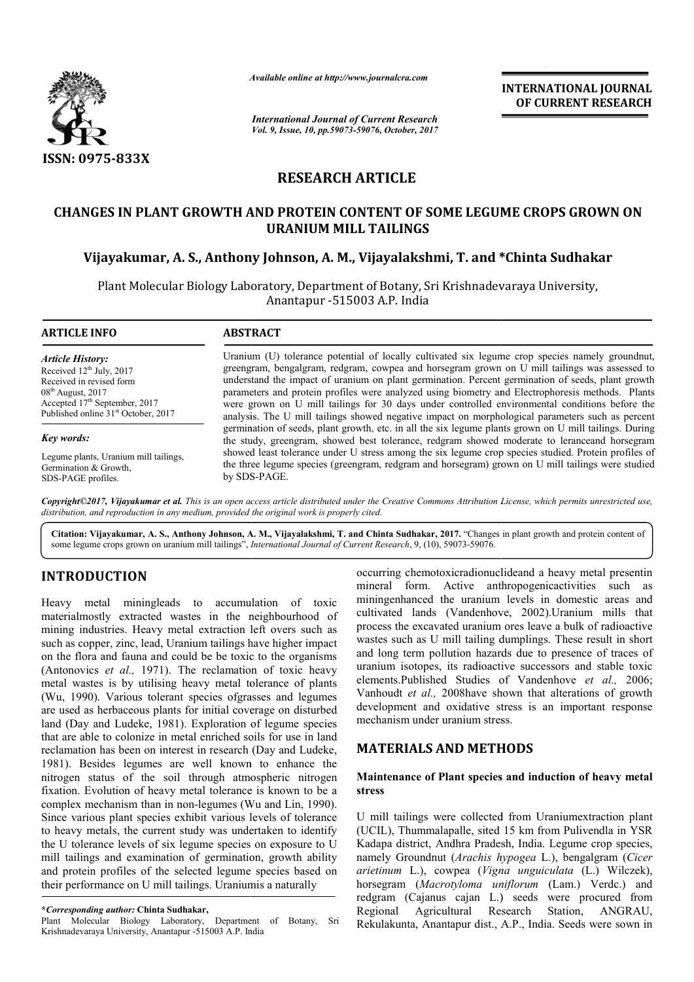

*Available online at http://www.journal http://www.journalcra.com*

*International Journal of Current Research Vol. 9, Issue, 10, pp.59073-59076, October, 2017* **INTERNATIONAL JOURNAL OF CURRENT RESEARCH** 

# **RESEARCH ARTICLE**

## CHANGES IN PLANT GROWTH AND PROTEIN CONTENT OF SOME LEGUME CROPS GROWN ON **URANIUM MILL TAILINGS**

# **Vijayakumar, A. S., Anthony Johnson , Johnson, A. M., Vijayalakshmi, T. and \* \*Chinta Sudhakar**

Plant Molecular Biology Laboratory, Department of Botany, Sri Krishnadevaraya University, Anantapur -515003 A.P. India

# **ARTICLE INFO ABSTRACT**

*Article History:* Received  $12<sup>th</sup>$  July, 2017 Received in revised form  $08<sup>th</sup>$  August, 2017 Accepted  $17<sup>th</sup>$  September, 2017 Published online 31<sup>st</sup> October, 2017

*Key words:*

Legume plants, Uranium mill tailings, Germination & Growth, SDS-PAGE profiles.

Uranium ( (U) tolerance potential of locally cultivated six legume crop species namely groundnut, greengram, bengalgram, redgram, cowpea and horsegram grown on U mill tailings was assessed to understand the impact of uranium on plant germination. Percent germination parameters and protein profiles were analyzed using biometry and Electrophoresis methods. Plants were grown on U mill tailings for 30 days under controlled environmental conditions before the analysis. The U mill tailings showed negative impact on morphological parameters such as percent germination of seeds, plant growth, etc. in all the six legume plants grown on U mill tailings. the study, greengram, showed best tolerance, redgram showed moderate to leranceand horsegram the study, greengram, showed best tolerance, redgram showed moderate to leranceand horsegram showed least tolerance under U stress among the six legume crop species studied. Protein profiles of the three legume species (greengram, redgram and horsegram) grown on U mill tailings were studied showed least to<br>the three legum<br>by SDS-PAGE. Uranium (U) tolerance potential of locally cultivated six legume crop species namely groundnut, greengram, bengalgram, redgram, cowpea and horsegram grown on U mill tailings was assessed to understand the impact of uranium parameters and protein profiles were analyzed using biometry and Electrophoresis methods. Plants<br>were grown on U mill tailings for 30 days under controlled environmental conditions before the<br>analysis. The U mill tailings

Copyright©2017, Vijayakumar et al. This is an open access article distributed under the Creative Commons Attribution License, which permits unrestricted use, *distribution, and reproduction in any medium, provided the original work is properly cited.*

Citation: Vijayakumar, A. S., Anthony Johnson, A. M., Vijayalakshmi, T. and Chinta Sudhakar, 2017. "Changes in plant growth and protein content of some legume crops grown on uranium mill tailings", *International Journal of Current Research* , 9, (10), 59073-59076.

# **INTRODUCTION**

Heavy metal miningleads to accumulation of toxic materialmostly extracted wastes in the neighbourhood of mining industries. Heavy metal extraction left overs such as such as copper, zinc, lead, Uranium tailings have higher impact on the flora and fauna and could be be toxic to the organisms (Antonovics *et al.,* 1971). The reclamation of toxic heavy metal wastes is by utilising heavy metal tolerance of plants (Wu, 1990). Various tolerant species ofgrasses and legumes are used as herbaceous plants for initial coverage on disturbed land (Day and Ludeke, 1981). Exploration of legume species that are able to colonize in metal enriched soils for use in land reclamation has been on interest in research (Day and Ludeke, 1981). Besides legumes are well known to enhance the nitrogen status of the soil through atmospheric nitrogen fixation. Evolution of heavy metal tolerance is known to be a complex mechanism than in non-legumes (Wu and Lin, 1990). Since various plant species exhibit various levels of tolerance to heavy metals, the current study was undertaken to identify the U tolerance levels of six legume species on exposure to U mill tailings and examination of germination, growth ability and protein profiles of the selected legume species based on their performance on U mill tailings. Uraniumis a naturally occurring chemotoxicradionuclideand a<br>
imining mining form. Active anthropogen<br>
sin the neighbourhood of cultivated lands (Vandenhove, 2002)<br>
extraction left overs such as process the excaved uranium ores leav<br>
um tailings

mineral form. Active anthropogenicactivities such as miningenhanced the uranium levels in domestic areas and cultivated lands (Vandenhove, 2002).Uranium mills that process the excavated uranium ores leave a bulk of radioactive wastes such as U mill tailing dumplings. These result in short and long term pollution hazards due to presence of traces of uranium isotopes, its radioactive successors and stable toxic elements.Published Studies of Vandenhove *et al.,* 2006; Vanhoudt et al., 2008have shown that alterations of growth development and oxidative stress is an important response mechanism under uranium stress. occurring chemotoxicradionuclideand a heavy metal presentin miningenhanced the uranium levels in domestic areas and cultivated lands (Vandenhove, 2002). Uranium mills that process the excavated uranium ores leave a bulk of radioactive wastes such as U mill tailing dumplings. These INTERNATIONAL JOURNAL<br> **OF CURRENT RESEARCH**<br> **OF CURRENT RESEARCH**<br> **OF CURRENT RESEARCH**<br> **CALC TO THE CONST CONST (TO THE CONST AND A SCALE TO THE INTERNATIONAL IS that a signal strip signal with the signal strip on th** 

## **MATERIALS AND METHODS METHODS**

### **Maintenance of Plant species and induction of heavy metal of stress**

U mill tailings were collected from Uraniumextraction plant (UCIL), Thummalapalle, sited 15 km from Pulivendla in YSR (UCIL), Thummalapalle, sited 15 km from Pulivendla in YSR<br>Kadapa district, Andhra Pradesh, India. Legume crop species, namely Groundnut (*Arachis hypogea* L.), bengalgram (*Cicer*  arietinum L.), cowpea (Vigna unguiculata (L.) Wilczek), horsegram (Macrotyloma uniflorum (Lam.) Verdc.) and redgram (Cajanus cajan L.) seeds were procured from Regional Agricultural Research Station, ANGRAU, Rekulakunta, Anantapur dist., A.P., India. Seeds were sown in

**<sup>\*</sup>***Corresponding author:* **Chinta Sudhakar,**

Plant Molecular Biology Laboratory, Department of Botany, Sri Krishnadevaraya University, Anantapur -515003 A.P. India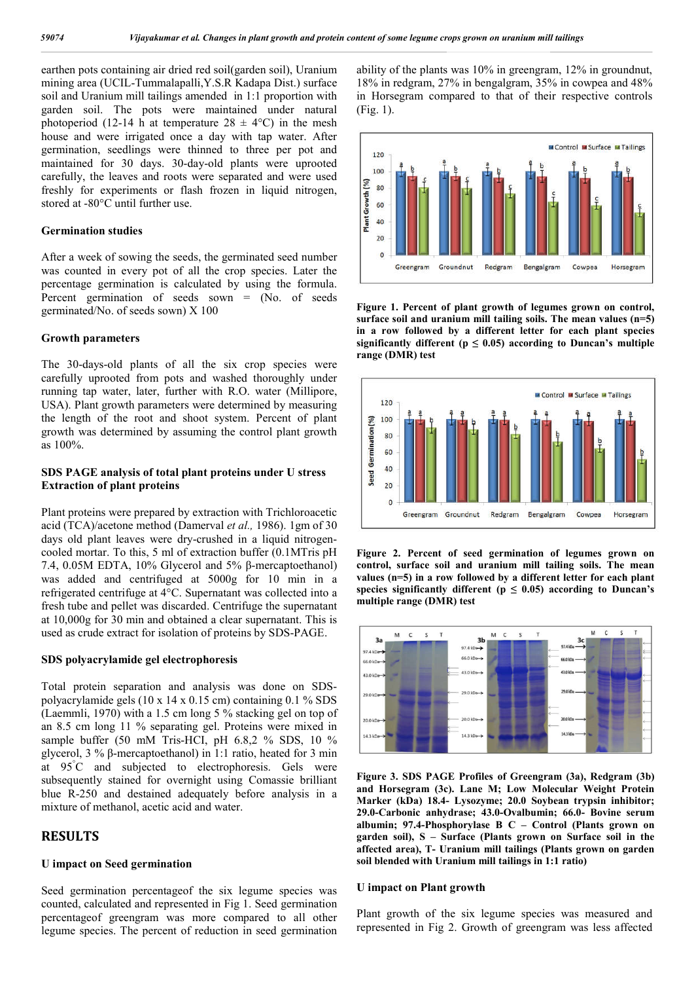earthen pots containing air dried red soil(garden soil), Uranium mining area (UCIL-Tummalapalli,Y.S.R Kadapa Dist.) surface soil and Uranium mill tailings amended in 1:1 proportion with garden soil. The pots were maintained under natural photoperiod (12-14 h at temperature  $28 \pm 4$ °C) in the mesh house and were irrigated once a day with tap water. After germination, seedlings were thinned to three per pot and maintained for 30 days. 30-day-old plants were uprooted carefully, the leaves and roots were separated and were used freshly for experiments or flash frozen in liquid nitrogen, stored at -80°C until further use.

#### **Germination studies**

After a week of sowing the seeds, the germinated seed number was counted in every pot of all the crop species. Later the percentage germination is calculated by using the formula. Percent germination of seeds sown  $=$  (No. of seeds germinated/No. of seeds sown) X 100

#### **Growth parameters**

The 30-days-old plants of all the six crop species were carefully uprooted from pots and washed thoroughly under running tap water, later, further with R.O. water (Millipore, USA). Plant growth parameters were determined by measuring the length of the root and shoot system. Percent of plant growth was determined by assuming the control plant growth as 100%.

#### **SDS PAGE analysis of total plant proteins under U stress Extraction of plant proteins**

Plant proteins were prepared by extraction with Trichloroacetic acid (TCA)/acetone method (Damerval *et al.,* 1986). 1gm of 30 days old plant leaves were dry-crushed in a liquid nitrogencooled mortar. To this, 5 ml of extraction buffer (0.1MTris pH 7.4, 0.05M EDTA, 10% Glycerol and 5% β-mercaptoethanol) was added and centrifuged at 5000g for 10 min in a refrigerated centrifuge at 4°C. Supernatant was collected into a fresh tube and pellet was discarded. Centrifuge the supernatant at 10,000g for 30 min and obtained a clear supernatant. This is used as crude extract for isolation of proteins by SDS-PAGE.

#### **SDS polyacrylamide gel electrophoresis**

Total protein separation and analysis was done on SDSpolyacrylamide gels (10 x 14 x 0.15 cm) containing 0.1 % SDS (Laemmli, 1970) with a 1.5 cm long 5 % stacking gel on top of an 8.5 cm long 11 % separating gel. Proteins were mixed in sample buffer (50 mM Tris-HCI, pH 6.8,2 % SDS, 10 % glycerol, 3 % β-mercaptoethanol) in 1:1 ratio, heated for 3 min at 95° C and subjected to electrophoresis. Gels were subsequently stained for overnight using Comassie brilliant blue R-250 and destained adequately before analysis in a mixture of methanol, acetic acid and water.

## **RESULTS**

#### **U impact on Seed germination**

Seed germination percentageof the six legume species was counted, calculated and represented in Fig 1. Seed germination percentageof greengram was more compared to all other legume species. The percent of reduction in seed germination ability of the plants was 10% in greengram, 12% in groundnut, 18% in redgram, 27% in bengalgram, 35% in cowpea and 48% in Horsegram compared to that of their respective controls (Fig. 1).



**Figure 1. Percent of plant growth of legumes grown on control, surface soil and uranium mill tailing soils. The mean values (n=5) in a row followed by a different letter for each plant species**  significantly different ( $p \leq 0.05$ ) according to Duncan's multiple **range (DMR) test**



**Figure 2. Percent of seed germination of legumes grown on control, surface soil and uranium mill tailing soils. The mean values (n=5) in a row followed by a different letter for each plant**  species significantly different ( $p \leq 0.05$ ) according to Duncan's **multiple range (DMR) test**



**Figure 3. SDS PAGE Profiles of Greengram (3a), Redgram (3b) and Horsegram (3c). Lane M; Low Molecular Weight Protein Marker (kDa) 18.4- Lysozyme; 20.0 Soybean trypsin inhibitor; 29.0-Carbonic anhydrase; 43.0-Ovalbumin; 66.0- Bovine serum albumin; 97.4-Phosphorylase B C – Control (Plants grown on garden soil), S – Surface (Plants grown on Surface soil in the affected area), T- Uranium mill tailings (Plants grown on garden soil blended with Uranium mill tailings in 1:1 ratio)**

#### **U impact on Plant growth**

Plant growth of the six legume species was measured and represented in Fig 2. Growth of greengram was less affected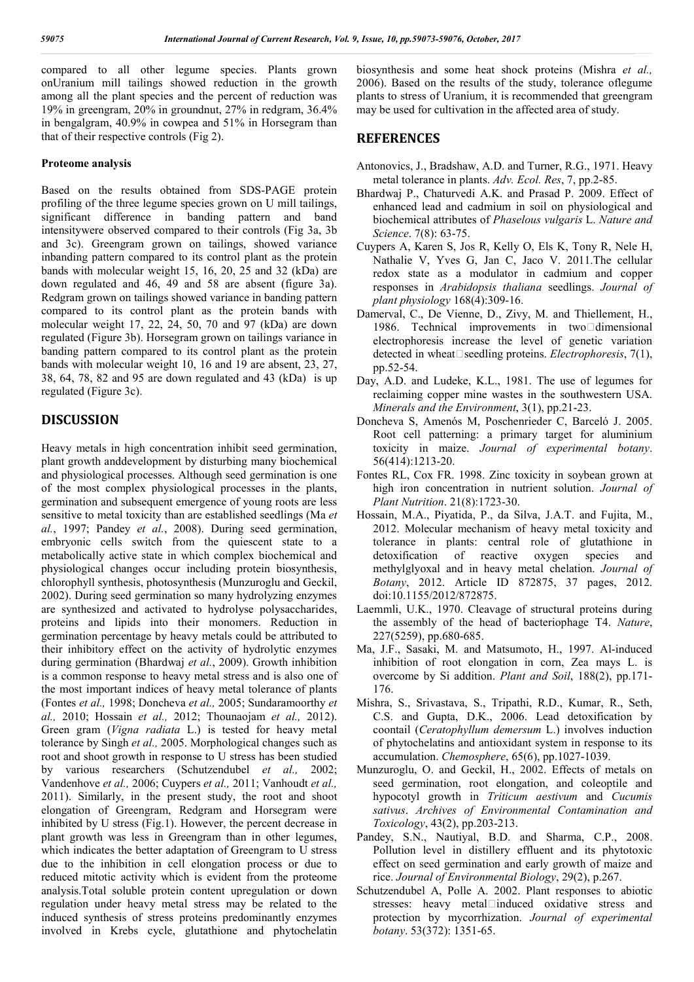compared to all other legume species. Plants grown onUranium mill tailings showed reduction in the growth among all the plant species and the percent of reduction was 19% in greengram, 20% in groundnut, 27% in redgram, 36.4% in bengalgram, 40.9% in cowpea and 51% in Horsegram than that of their respective controls (Fig 2).

#### **Proteome analysis**

Based on the results obtained from SDS-PAGE protein profiling of the three legume species grown on U mill tailings, significant difference in banding pattern and band intensitywere observed compared to their controls (Fig 3a, 3b and 3c). Greengram grown on tailings, showed variance inbanding pattern compared to its control plant as the protein bands with molecular weight 15, 16, 20, 25 and 32 (kDa) are down regulated and 46, 49 and 58 are absent (figure 3a). Redgram grown on tailings showed variance in banding pattern compared to its control plant as the protein bands with molecular weight 17, 22, 24, 50, 70 and 97 (kDa) are down regulated (Figure 3b). Horsegram grown on tailings variance in banding pattern compared to its control plant as the protein bands with molecular weight 10, 16 and 19 are absent, 23, 27, 38, 64, 78, 82 and 95 are down regulated and 43 (kDa) is up regulated (Figure 3c).

## **DISCUSSION**

Heavy metals in high concentration inhibit seed germination, plant growth anddevelopment by disturbing many biochemical and physiological processes. Although seed germination is one of the most complex physiological processes in the plants, germination and subsequent emergence of young roots are less sensitive to metal toxicity than are established seedlings (Ma *et al.*, 1997; Pandey *et al.*, 2008). During seed germination, embryonic cells switch from the quiescent state to a metabolically active state in which complex biochemical and physiological changes occur including protein biosynthesis, chlorophyll synthesis, photosynthesis (Munzuroglu and Geckil, 2002). During seed germination so many hydrolyzing enzymes are synthesized and activated to hydrolyse polysaccharides, proteins and lipids into their monomers. Reduction in germination percentage by heavy metals could be attributed to their inhibitory effect on the activity of hydrolytic enzymes during germination (Bhardwaj *et al.*, 2009). Growth inhibition is a common response to heavy metal stress and is also one of the most important indices of heavy metal tolerance of plants (Fontes *et al.,* 1998; Doncheva *et al.,* 2005; Sundaramoorthy *et al.,* 2010; Hossain *et al.,* 2012; Thounaojam *et al.,* 2012). Green gram (*Vigna radiata* L.) is tested for heavy metal tolerance by Singh *et al.,* 2005. Morphological changes such as root and shoot growth in response to U stress has been studied by various researchers (Schutzendubel *et al.,* 2002; Vandenhove *et al.,* 2006; Cuypers *et al.,* 2011; Vanhoudt *et al.,* 2011). Similarly, in the present study, the root and shoot elongation of Greengram, Redgram and Horsegram were inhibited by U stress (Fig.1). However, the percent decrease in plant growth was less in Greengram than in other legumes, which indicates the better adaptation of Greengram to U stress due to the inhibition in cell elongation process or due to reduced mitotic activity which is evident from the proteome analysis.Total soluble protein content upregulation or down regulation under heavy metal stress may be related to the induced synthesis of stress proteins predominantly enzymes involved in Krebs cycle, glutathione and phytochelatin biosynthesis and some heat shock proteins (Mishra *et al.,* 2006). Based on the results of the study, tolerance oflegume plants to stress of Uranium, it is recommended that greengram may be used for cultivation in the affected area of study.

## **REFERENCES**

- Antonovics, J., Bradshaw, A.D. and Turner, R.G., 1971. Heavy metal tolerance in plants. *Adv. Ecol. Res*, 7, pp.2-85.
- Bhardwaj P., Chaturvedi A.K. and Prasad P. 2009. Effect of enhanced lead and cadmium in soil on physiological and biochemical attributes of *Phaselous vulgaris* L. *Nature and Science*. 7(8): 63-75.
- Cuypers A, Karen S, Jos R, Kelly O, Els K, Tony R, Nele H, Nathalie V, Yves G, Jan C, Jaco V. 2011.The cellular redox state as a modulator in cadmium and copper responses in *Arabidopsis thaliana* seedlings. *Journal of plant physiology* 168(4):309-16.
- Damerval, C., De Vienne, D., Zivy, M. and Thiellement, H., 1986. Technical improvements in two $\Box$ dimensional electrophoresis increase the level of genetic variation detected in wheat $\square$  seedling proteins. *Electrophoresis*, 7(1), pp.52-54.
- Day, A.D. and Ludeke, K.L., 1981. The use of legumes for reclaiming copper mine wastes in the southwestern USA. *Minerals and the Environment*, 3(1), pp.21-23.
- Doncheva S, Amenós M, Poschenrieder C, Barceló J. 2005. Root cell patterning: a primary target for aluminium toxicity in maize. *Journal of experimental botany*. 56(414):1213-20.
- Fontes RL, Cox FR. 1998. Zinc toxicity in soybean grown at high iron concentration in nutrient solution. *Journal of Plant Nutrition*. 21(8):1723-30.
- Hossain, M.A., Piyatida, P., da Silva, J.A.T. and Fujita, M., 2012. Molecular mechanism of heavy metal toxicity and tolerance in plants: central role of glutathione in detoxification of reactive oxygen species and methylglyoxal and in heavy metal chelation. *Journal of Botany*, 2012. Article ID 872875, 37 pages, 2012. doi:10.1155/2012/872875.
- Laemmli, U.K., 1970. Cleavage of structural proteins during the assembly of the head of bacteriophage T4. *Nature*, 227(5259), pp.680-685.
- Ma, J.F., Sasaki, M. and Matsumoto, H., 1997. Al-induced inhibition of root elongation in corn, Zea mays L. is overcome by Si addition. *Plant and Soil*, 188(2), pp.171- 176.
- Mishra, S., Srivastava, S., Tripathi, R.D., Kumar, R., Seth, C.S. and Gupta, D.K., 2006. Lead detoxification by coontail (*Ceratophyllum demersum* L.) involves induction of phytochelatins and antioxidant system in response to its accumulation. *Chemosphere*, 65(6), pp.1027-1039.
- Munzuroglu, O. and Geckil, H., 2002. Effects of metals on seed germination, root elongation, and coleoptile and hypocotyl growth in *Triticum aestivum* and *Cucumis sativus*. *Archives of Environmental Contamination and Toxicology*, 43(2), pp.203-213.
- Pandey, S.N., Nautiyal, B.D. and Sharma, C.P., 2008. Pollution level in distillery effluent and its phytotoxic effect on seed germination and early growth of maize and rice. *Journal of Environmental Biology*, 29(2), p.267.
- Schutzendubel A, Polle A. 2002. Plant responses to abiotic stresses: heavy metallinduced oxidative stress and protection by mycorrhization. *Journal of experimental botany*. 53(372): 1351-65.